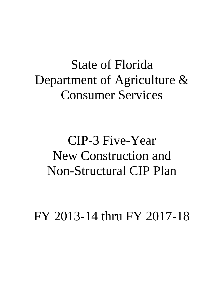# State of Florida Department of Agriculture & Consumer Services

# CIP-3 Five-Year New Construction and Non-Structural CIP Plan

FY 2013-14 thru FY 2017-18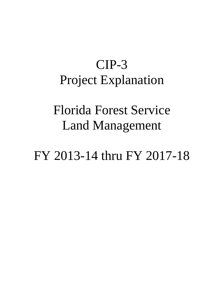# CIP-3 Project Explanation

## Florida Forest Service Land Management

FY 2013-14 thru FY 2017-18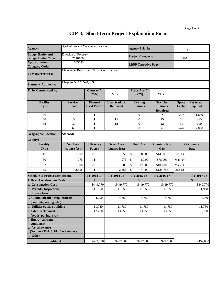#### **CIP-3: Short-term Project Explanation Form**

| Agency:                                                   | <b>Agriculture and Consumer Services</b>  |                                      |                                         | <b>Agency Priority:</b>            |                                                       |                               |                                    |
|-----------------------------------------------------------|-------------------------------------------|--------------------------------------|-----------------------------------------|------------------------------------|-------------------------------------------------------|-------------------------------|------------------------------------|
| <b>Budget Entity and</b>                                  | Division of Forestry                      |                                      |                                         |                                    |                                                       | 5                             |                                    |
| <b>Budget Entity Code:</b>                                | 42110100                                  |                                      |                                         | <b>Project Category:</b>           |                                                       | <b>SPFC</b>                   |                                    |
| <b>Appropriation</b><br><b>Category Code:</b>             | 083643                                    |                                      |                                         | <b>LRPP Narrative Page:</b>        |                                                       |                               |                                    |
| <b>PROJECT TITLE:</b>                                     | Maintence, Repairs and Small Construction |                                      |                                         |                                    |                                                       |                               |                                    |
| <b>Statutory Authority:</b>                               | Chapters 589 & 590, F.S.                  |                                      |                                         |                                    |                                                       |                               |                                    |
| To be Constructed by:                                     |                                           | Contract?<br>(Y/N)                   | <b>YES</b>                              | <b>Force Acct.?</b><br>(Y/N)       | <b>YES</b>                                            |                               |                                    |
| <b>Facility</b><br><b>Type</b>                            | <b>Service</b><br>Load                    | <b>Planned</b><br><b>Used Factor</b> | <b>User Stations</b><br><b>Required</b> | <b>Existing</b><br><b>Stations</b> | <b>New User</b><br><b>Stations</b><br><b>Required</b> | <b>Space</b><br><b>Factor</b> | <b>Net Area</b><br><b>Required</b> |
| 46                                                        | $\tau$                                    | $\mathbf{1}$                         | $\overline{7}$                          | $\boldsymbol{0}$                   | $\overline{7}$                                        | 237                           | 1,659                              |
| 50                                                        | 15                                        | 1                                    | 15                                      | $\boldsymbol{0}$                   | 15                                                    | 65                            | 975                                |
| 52                                                        | 12                                        | 1                                    | 12                                      | $\boldsymbol{0}$                   | 12                                                    | 50                            | 600                                |
| 65                                                        | 6                                         | 1                                    | 6                                       | $\overline{0}$                     | 6                                                     | 476                           | 2,858                              |
| <b>Geographic Location:</b>                               | <b>Staewide</b>                           |                                      |                                         |                                    |                                                       |                               |                                    |
| <b>County:</b>                                            |                                           |                                      |                                         |                                    |                                                       |                               |                                    |
| <b>Facility</b>                                           | <b>Net Area</b>                           | <b>Efficiency</b>                    | <b>Gross Area</b>                       | <b>Unit Cost</b>                   | <b>Construction</b>                                   |                               | <b>Occupancy</b>                   |
| <b>Type</b>                                               | (square feet)                             | <b>Factor</b>                        | (square feet)                           |                                    | Cost                                                  |                               | Date                               |
| 46                                                        | 1,659                                     | 0.9                                  | 1,659                                   | \$<br>85.00                        | \$141,015                                             | Sep-13                        |                                    |
| 50                                                        | 975                                       | $\mathbf{1}$                         | 975                                     | \$<br>80.00                        | \$78,000                                              | May-14                        |                                    |
| 52                                                        | 600                                       | 0.9                                  | 600                                     | \$<br>175.00                       | \$105,000                                             | $Mar-14$                      |                                    |
| 65                                                        | 2,858                                     | $\mathbf{1}$                         | 2,858                                   | \$<br>44.00                        | \$125,755                                             | $Dec-13$                      |                                    |
| <b>Schedule of Project Components</b>                     |                                           | FY 2013-14                           | FY 2014-15                              | FY 2015-16                         | FY 2016-17                                            |                               | FY 2017-18                         |
| <b>1. Basic Construction Costs</b>                        |                                           | \$                                   | \$                                      | \$                                 | \$                                                    |                               | \$                                 |
| a. Construction Cost                                      |                                           | \$449,770                            | \$449,770                               | \$449,770                          | \$449,770                                             |                               | \$449,770                          |
| b. Permits, Inspections,<br><b>Impact Fees</b>            |                                           | 11,950                               | 11,950                                  | 11,950                             | 11,950                                                |                               | 11,950                             |
| c. Communication requirements<br>(conduits, wiring, etc.) |                                           | 4,750                                | 4,750                                   | 4,750                              | 4,750                                                 |                               | 4,750                              |
| d. Utilities outside building                             |                                           | 11,780                               | 11,780                                  | 11,780                             | 11,780                                                |                               | 11,780                             |
| e. Site Development                                       |                                           | 13,750                               | 13,750                                  | 13,750                             | 13,750                                                |                               | 13,750                             |
| (roads, paving, etc.)                                     |                                           |                                      |                                         |                                    |                                                       |                               |                                    |
| f. Energy efficient                                       |                                           |                                      |                                         |                                    |                                                       |                               |                                    |
| equipment<br>g. Art allowance                             |                                           |                                      |                                         |                                    |                                                       |                               |                                    |
| (Section 255.043, Florida Statutes)                       |                                           |                                      |                                         |                                    |                                                       |                               |                                    |
| h. Other                                                  |                                           |                                      |                                         |                                    |                                                       |                               |                                    |
| Subtotal:                                                 |                                           | \$492,000                            | \$492,000                               | \$492,000                          | \$492,000                                             |                               | \$492,000                          |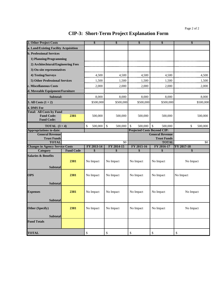#### **CIP-3: Short-Term Project Explanation Form**

| 2. Other Project Costs                       |                  | \$            | \$                      | \$                                 | \$                                           | \$                |  |
|----------------------------------------------|------------------|---------------|-------------------------|------------------------------------|----------------------------------------------|-------------------|--|
| a. Land/Existing Facility Acquisition        |                  |               |                         |                                    |                                              |                   |  |
| <b>b. Professional Services</b>              |                  |               |                         |                                    |                                              |                   |  |
| 1) Planning/Programming                      |                  |               |                         |                                    |                                              |                   |  |
| 2) Architechtural/Engineering Fees           |                  |               |                         |                                    |                                              |                   |  |
| 3) On-site representatives                   |                  |               |                         |                                    |                                              |                   |  |
| 4) Testing/Surveys                           |                  | 4,500         | 4,500                   | 4,500                              | 4,500                                        | 4,500             |  |
| 5) Other Professional Services               |                  | 1,500         | 1,500                   | 1,500                              | 1,500                                        | 1,500             |  |
| c. Miscellaneous Costs                       |                  | 2,000         | 2,000                   | 2,000                              | 2,000                                        | 2,000             |  |
| d. Moveable Equipment/Furniture              |                  |               |                         |                                    |                                              |                   |  |
| Subtotal:                                    |                  | 8,000         | 8,000                   | 8,000                              | 8,000                                        | 8,000             |  |
| 3. All Costs $(1 + 2)$                       |                  | \$500,000     | \$500,000               | \$500,000                          | \$500,000                                    | \$500,000         |  |
| 4. DMS Fee                                   |                  |               |                         |                                    |                                              |                   |  |
| <b>Total: All Costs by Fund</b>              |                  |               |                         |                                    |                                              |                   |  |
| <b>Fund Code:</b>                            | 2381             | 500,000       | 500,000                 | 500,000                            | 500,000                                      | 500,000           |  |
| <b>Fund Code:</b>                            |                  |               |                         |                                    |                                              |                   |  |
| <b>TOTAL</b> $(3+4)$                         |                  | 500,000<br>\$ | $\mathbb{S}$<br>500,000 | $\mathcal{S}$<br>500,000           | $\mathbb{S}$<br>500,000                      | \$<br>500,000     |  |
| <b>Appropriations to-date:</b>               |                  |               |                         | <b>Projected Costs Beyond CIP:</b> |                                              |                   |  |
| <b>General Revenue</b><br><b>Trust Funds</b> |                  |               |                         |                                    | <b>General Revenue</b><br><b>Trust Funds</b> |                   |  |
| <b>TOTAL</b>                                 |                  |               | $\overline{50}$         |                                    | <b>TOTAL</b>                                 | $\sqrt{6}$        |  |
| <b>Changes in Agency Service Costs</b>       |                  | FY 2013-14    | FY 2014-15              | FY 2015-16                         | FY 2016-17                                   | <b>FY 2017-18</b> |  |
| <b>Category</b>                              | <b>Fund Code</b> | \$            | \$                      | \$                                 | \$                                           | \$                |  |
| <b>Salaries &amp; Benefits</b>               |                  |               |                         |                                    |                                              |                   |  |
|                                              | 2381             | No Impact     | No Impact               | No Impact                          | No Impact                                    | No Impact         |  |
| <b>Subtotal</b>                              |                  |               |                         |                                    |                                              |                   |  |
| <b>OPS</b>                                   | 2381             | No Impact     | No Impact               | No Impact                          | No Impact                                    | No Impact         |  |
|                                              |                  |               |                         |                                    |                                              |                   |  |
| <b>Subtotal</b>                              |                  |               |                         |                                    |                                              |                   |  |
|                                              |                  |               |                         |                                    |                                              |                   |  |
| <b>Expenses</b>                              | 2381             | No Impact     | No Impact               | No Impact                          | No Impact                                    | No Impact         |  |
| <b>Subtotal</b>                              |                  |               |                         |                                    |                                              |                   |  |
|                                              |                  |               |                         |                                    |                                              |                   |  |
| Other (Specify)                              | 2381             | No Impact     | No Impact               | No Impact                          | No Impact                                    | No Impact         |  |
| <b>Subtotal</b>                              |                  |               |                         |                                    |                                              |                   |  |
| <b>Fund Totals</b>                           |                  |               |                         |                                    |                                              |                   |  |
|                                              |                  |               |                         |                                    |                                              |                   |  |
| <b>TOTAL</b>                                 |                  | \$            | \$                      | $\boldsymbol{\mathsf{S}}$          | \$                                           | \$                |  |
|                                              |                  |               |                         |                                    |                                              |                   |  |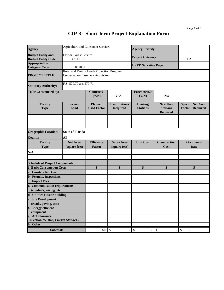#### **CIP-3: Short-term Project Explanation Form**

| Agency:                                                   | <b>Agriculture and Consumer Services</b>                                             |                                                                                              |                                         | <b>Agency Priority:</b>            |                                                | 6                             |                                    |
|-----------------------------------------------------------|--------------------------------------------------------------------------------------|----------------------------------------------------------------------------------------------|-----------------------------------------|------------------------------------|------------------------------------------------|-------------------------------|------------------------------------|
| <b>Budget Entity and</b><br><b>Budget Entity Code:</b>    | Florida Forest Service<br>42110100                                                   |                                                                                              |                                         | <b>Project Category:</b>           |                                                | LA                            |                                    |
| <b>Appropriation</b><br><b>Category Code:</b>             | 082002                                                                               |                                                                                              |                                         | <b>LRPP Narrative Page:</b>        |                                                |                               |                                    |
| <b>PROJECT TITLE:</b>                                     | Rural and Family Lands Protection Program<br><b>Conservation Easement Acquisiton</b> |                                                                                              |                                         |                                    |                                                |                               |                                    |
| <b>Statutory Authority:</b>                               | F.S. 570.70 ans 570.71                                                               |                                                                                              |                                         |                                    |                                                |                               |                                    |
| To be Constructed by:                                     |                                                                                      | Contract?<br>(Y/N)                                                                           | <b>YES</b>                              | <b>Force Acct.?</b><br>(Y/N)       | N <sub>O</sub>                                 |                               |                                    |
| <b>Facility</b><br><b>Type</b>                            | <b>Service</b><br>Load                                                               | <b>Planned</b><br><b>Used Factor</b>                                                         | <b>User Stations</b><br><b>Required</b> | <b>Existing</b><br><b>Stations</b> | <b>New User</b><br><b>Stations</b><br>Required | <b>Space</b><br><b>Factor</b> | <b>Net Area</b><br><b>Required</b> |
|                                                           |                                                                                      |                                                                                              |                                         |                                    |                                                |                               |                                    |
| <b>Geographic Location:</b>                               | <b>State of Florida</b>                                                              |                                                                                              |                                         |                                    |                                                |                               |                                    |
| <b>County:</b>                                            | All                                                                                  |                                                                                              |                                         |                                    |                                                |                               |                                    |
| <b>Facility</b><br><b>Type</b>                            | <b>Net Area</b><br>(square feet)                                                     | <b>Efficiency</b><br><b>Gross Area</b><br><b>Unit Cost</b><br><b>Factor</b><br>(square feet) |                                         | Construction<br>Cost               | Occupancy<br><b>Date</b>                       |                               |                                    |
| N/A                                                       |                                                                                      |                                                                                              |                                         |                                    |                                                |                               |                                    |
| <b>Schedule of Project Components</b>                     |                                                                                      |                                                                                              |                                         |                                    |                                                |                               |                                    |
| <b>1. Basic Construction Costs</b>                        |                                                                                      | \$                                                                                           | \$                                      | \$                                 | \$                                             | \$                            |                                    |
| a. Construction Cost                                      |                                                                                      |                                                                                              |                                         |                                    |                                                |                               |                                    |
| b. Permits, Inspections,<br><b>Impact Fees</b>            |                                                                                      |                                                                                              |                                         |                                    |                                                |                               |                                    |
| c. Communication requirements<br>(conduits, wiring, etc.) |                                                                                      |                                                                                              |                                         |                                    |                                                |                               |                                    |
| d. Utilities outside building                             |                                                                                      |                                                                                              |                                         |                                    |                                                |                               |                                    |
| e. Site Development                                       |                                                                                      |                                                                                              |                                         |                                    |                                                |                               |                                    |
| (roads, paving, etc.)                                     |                                                                                      |                                                                                              |                                         |                                    |                                                |                               |                                    |
| f. Energy efficient<br>equipment                          |                                                                                      |                                                                                              |                                         |                                    |                                                |                               |                                    |
| g. Art allowance<br>(Section 255.043, Florida Statutes)   |                                                                                      |                                                                                              |                                         |                                    |                                                |                               |                                    |
| h. Other                                                  |                                                                                      |                                                                                              |                                         |                                    |                                                |                               |                                    |
| Subtotal:                                                 |                                                                                      | \$0                                                                                          | \$                                      | \$                                 | \$                                             | \$                            |                                    |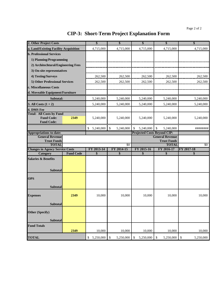#### **CIP-3: Short-Term Project Explanation Form**

| 2. Other Project Costs                               |                  | \$                                 | \$                   | \$              | \$                                 | \$              |
|------------------------------------------------------|------------------|------------------------------------|----------------------|-----------------|------------------------------------|-----------------|
| a. Land/Existing Facility Acquisition                |                  | 4,715,000                          | 4,715,000            | 4,715,000       | 4,715,000                          | 4,715,000       |
| <b>b. Professional Services</b>                      |                  |                                    |                      |                 |                                    |                 |
| 1) Planning/Programming                              |                  |                                    |                      |                 |                                    |                 |
| 2) Architechtural/Engineering Fees                   |                  |                                    |                      |                 |                                    |                 |
| 3) On-site representatives                           |                  |                                    |                      |                 |                                    |                 |
|                                                      |                  |                                    |                      |                 |                                    |                 |
| 4) Testing/Surveys                                   |                  | 262,500                            | 262,500              | 262,500         | 262,500                            | 262,500         |
| 5) Other Professional Services                       |                  | 262,500                            | 262,500              | 262,500         | 262,500                            | 262,500         |
| c. Miscellaneous Costs                               |                  |                                    |                      |                 |                                    |                 |
| d. Moveable Equipment/Furniture                      |                  |                                    |                      |                 |                                    |                 |
| Subtotal:                                            |                  | 5,240,000                          | 5,240,000            | 5,240,000       | 5,240,000                          | 5,240,000       |
| 3. All Costs $(1 + 2)$                               |                  | 5,240,000                          | 5,240,000            | 5,240,000       | 5,240,000                          | 5,240,000       |
| 4. DMS Fee                                           |                  |                                    |                      |                 |                                    |                 |
| <b>Total: All Costs by Fund</b><br><b>Fund Code:</b> | 2349             | 5,240,000                          | 5,240,000            | 5,240,000       | 5,240,000                          | 5,240,000       |
| <b>Fund Code:</b>                                    |                  |                                    |                      |                 |                                    |                 |
|                                                      |                  | 5,240,000<br>\$                    | $\sqrt$<br>5,240,000 | 5,240,000       | \$<br>5,240,000                    | ########        |
| <b>Appropriations to-date:</b>                       |                  | <b>Projected Costs Beyond CIP:</b> |                      |                 |                                    |                 |
| <b>General Revenue</b>                               |                  |                                    |                      |                 | <b>General Revenue</b>             |                 |
| <b>Trust Funds</b><br><b>TOTAL</b>                   |                  |                                    | \$0                  |                 | <b>Trust Funds</b><br><b>TOTAL</b> | \$0             |
| <b>Changes in Agency Service Costs</b>               |                  | FY 2013-14                         | FY 2014-15           | FY 2015-16      | FY 2016-17                         | FY 2017-18      |
| Category                                             | <b>Fund Code</b> | \$                                 | \$                   | \$              | \$                                 | \$              |
| <b>Salaries &amp; Benefits</b>                       |                  |                                    |                      |                 |                                    |                 |
|                                                      |                  |                                    |                      |                 |                                    |                 |
| <b>Subtotal</b>                                      |                  |                                    |                      |                 |                                    |                 |
| <b>OPS</b>                                           |                  |                                    |                      |                 |                                    |                 |
|                                                      |                  |                                    |                      |                 |                                    |                 |
| <b>Subtotal</b>                                      |                  |                                    |                      |                 |                                    |                 |
|                                                      |                  |                                    |                      |                 |                                    |                 |
| <b>Expenses</b>                                      | 2349             | 10,000                             | 10,000               | 10,000          | 10,000                             | 10,000          |
| <b>Subtotal</b>                                      |                  |                                    |                      |                 |                                    |                 |
|                                                      |                  |                                    |                      |                 |                                    |                 |
| <b>Other (Specify)</b>                               |                  |                                    |                      |                 |                                    |                 |
| Subtotal                                             |                  |                                    |                      |                 |                                    |                 |
| <b>Fund Totals</b>                                   |                  |                                    |                      |                 |                                    |                 |
|                                                      | 2349             | 10,000                             | 10,000               | 10,000          | 10,000                             | 10,000          |
| <b>TOTAL</b>                                         |                  | 5,250,000<br>\$                    | \$<br>5,250,000      | 5,250,000<br>\$ | 5,250,000<br>\$                    | \$<br>5,250,000 |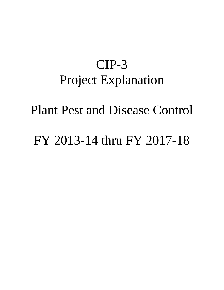## CIP-3 Project Explanation

Plant Pest and Disease Control

FY 2013-14 thru FY 2017-18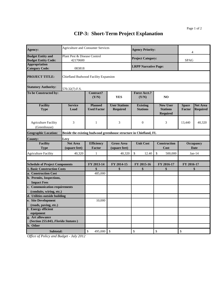#### **CIP-3: Short-Term Project Explanation**

| Agency:                                                 | <b>Agriculture and Consumer Services</b>    |                                      |                                                                   | <b>Agency Priority:</b>            |                                                       | $\overline{4}$                  |                                    |
|---------------------------------------------------------|---------------------------------------------|--------------------------------------|-------------------------------------------------------------------|------------------------------------|-------------------------------------------------------|---------------------------------|------------------------------------|
| <b>Budget Entity and</b><br><b>Budget Entity Code:</b>  | Plant Pest & Disease Control<br>42170600    |                                      |                                                                   | <b>Project Category:</b>           |                                                       | <b>SPAG</b>                     |                                    |
| <b>Appropriation</b><br><b>Category Code:</b>           | 083818                                      |                                      |                                                                   | <b>LRPP Narrative Page:</b>        |                                                       |                                 |                                    |
| <b>PROJECT TITLE:</b>                                   | <b>Chiefland Budwood Facility Expansion</b> |                                      |                                                                   |                                    |                                                       |                                 |                                    |
| <b>Statutory Authority:</b>                             | 570.32(7) F.S.                              |                                      |                                                                   |                                    |                                                       |                                 |                                    |
| To be Constructed by:                                   |                                             | <b>Contract?</b><br>(Y/N)            | <b>YES</b>                                                        | <b>Force Acct.?</b><br>(Y/N)       | N <sub>O</sub>                                        |                                 |                                    |
| <b>Facility</b><br><b>Type</b>                          | <b>Service</b><br>Load                      | <b>Planned</b><br><b>Used Factor</b> | <b>User Stations</b><br><b>Required</b>                           | <b>Existing</b><br><b>Stations</b> | <b>New User</b><br><b>Stations</b><br><b>Required</b> | <b>Space</b><br><b>Factor</b>   | <b>Net Area</b><br><b>Required</b> |
| <b>Agriculture Facility</b><br>(Greenhouse)             | 3                                           | $\mathbf{1}$                         | 3                                                                 | $\mathbf{0}$                       | 3                                                     | 13,440                          | 40.320                             |
| <b>Geographic Location:</b>                             |                                             |                                      | Beside the existing budwood greenhouse structure in Chiefland, FL |                                    |                                                       |                                 |                                    |
| <b>County:</b>                                          | Levy                                        |                                      |                                                                   |                                    |                                                       |                                 |                                    |
| <b>Facility</b><br><b>Type</b>                          | <b>Net Area</b><br>(square feet)            | <b>Efficiency</b><br><b>Factor</b>   | <b>Gross Area</b><br>(square feet)                                | <b>Unit Cost</b>                   | <b>Construction</b><br>Cost                           | <b>Occupancy</b><br><b>Date</b> |                                    |
| <b>Agriculture Facility</b>                             | 40,320                                      | $\mathbf{1}$                         | 40,320                                                            | $\boldsymbol{\mathsf{S}}$<br>12.40 | \$<br>500,000                                         | $Jan-14$                        |                                    |
| <b>Schedule of Project Components</b>                   |                                             | FY 2013-14                           | FY 2014-15                                                        | FY 2015-16                         | FY 2016-17                                            | FY 2016-17                      |                                    |
| 1. Basic Construction Costs                             |                                             | $\boldsymbol{\$}$                    | $\boldsymbol{\hat{s}}$                                            | \$                                 | $\boldsymbol{\hat{s}}$                                |                                 | \$                                 |
| a. Construction Cost                                    |                                             | 485,000                              |                                                                   |                                    |                                                       |                                 |                                    |
| b. Permits, Inspections,                                |                                             |                                      |                                                                   |                                    |                                                       |                                 |                                    |
| <b>Impact Fees</b><br>c. Communication requirements     |                                             |                                      |                                                                   |                                    |                                                       |                                 |                                    |
| (conduits, wiring, etc.)                                |                                             |                                      |                                                                   |                                    |                                                       |                                 |                                    |
| d. Utilities outside building                           |                                             |                                      |                                                                   |                                    |                                                       |                                 |                                    |
| e. Site Development                                     |                                             | 10,000                               |                                                                   |                                    |                                                       |                                 |                                    |
| (roads, paving, etc.)                                   |                                             |                                      |                                                                   |                                    |                                                       |                                 |                                    |
| f. Energy efficient                                     |                                             |                                      |                                                                   |                                    |                                                       |                                 |                                    |
| equipment                                               |                                             |                                      |                                                                   |                                    |                                                       |                                 |                                    |
| g. Art allowance<br>(Section 255.043, Florida Statutes) |                                             |                                      |                                                                   |                                    |                                                       |                                 |                                    |
| h. Other                                                |                                             |                                      |                                                                   |                                    |                                                       |                                 |                                    |
| Subtotal:                                               |                                             | \$<br>495,000                        | $\mathcal{S}$                                                     | \$                                 | \$                                                    | \$                              |                                    |

*Office of Policy and Budget - July 2012*